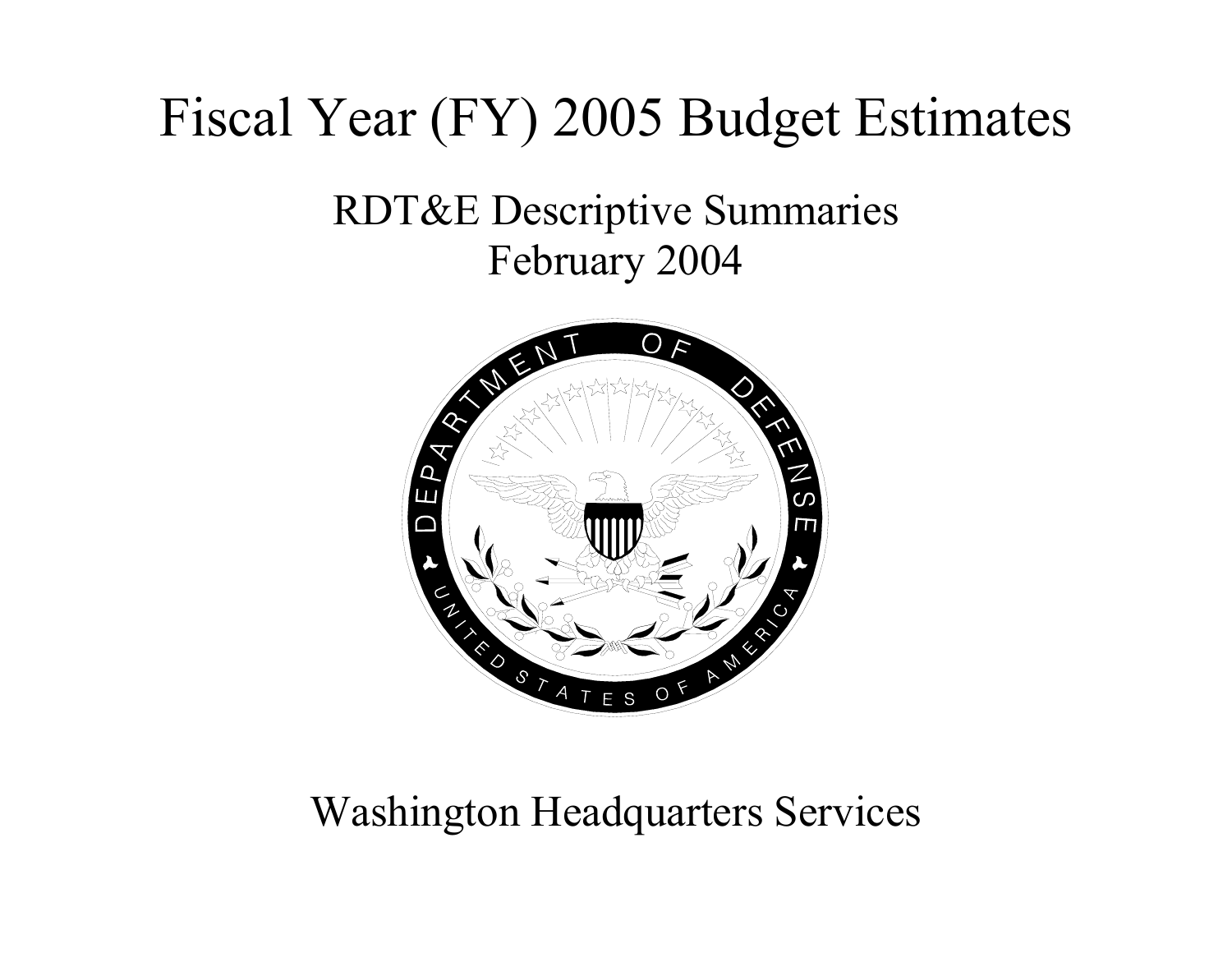# Fiscal Year (FY) 2005 Budget Estimates

# RDT&E Descriptive Summaries February 2004



# Washington Headquarters Services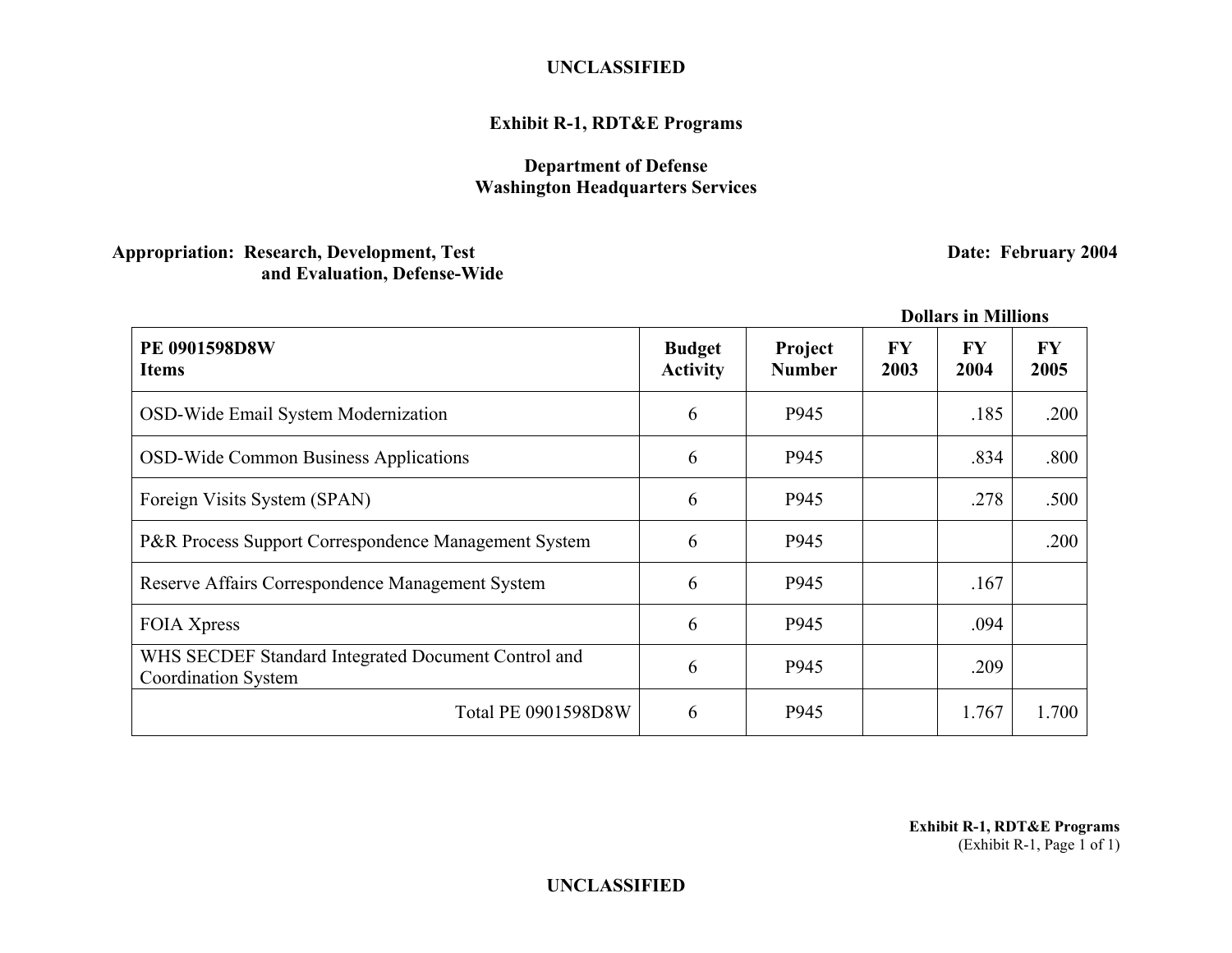# **Exhibit R-1, RDT&E Programs**

# **Department of Defense Washington Headquarters Services**

# **Appropriation: Research, Development, Test Sexual Appropriation: Research, Development, Test Sexual Appropriation: Pate: February 2004 and Evaluation, Defense-Wide**

|                                                                                   |                                  |                          |                   | DOMARS IN MINIONS |                   |
|-----------------------------------------------------------------------------------|----------------------------------|--------------------------|-------------------|-------------------|-------------------|
| <b>PE 0901598D8W</b><br><b>Items</b>                                              | <b>Budget</b><br><b>Activity</b> | Project<br><b>Number</b> | <b>FY</b><br>2003 | <b>FY</b><br>2004 | <b>FY</b><br>2005 |
| OSD-Wide Email System Modernization                                               | 6                                | P945                     |                   | .185              | .200              |
| <b>OSD-Wide Common Business Applications</b>                                      | 6                                | P945                     |                   | .834              | .800              |
| Foreign Visits System (SPAN)                                                      | 6                                | P945                     |                   | .278              | .500              |
| P&R Process Support Correspondence Management System                              | 6                                | P945                     |                   |                   | .200              |
| Reserve Affairs Correspondence Management System                                  | 6                                | P945                     |                   | .167              |                   |
| <b>FOIA Xpress</b>                                                                | 6                                | P945                     |                   | .094              |                   |
| WHS SECDEF Standard Integrated Document Control and<br><b>Coordination System</b> | 6                                | P945                     |                   | .209              |                   |
| <b>Total PE 0901598D8W</b>                                                        | 6                                | P945                     |                   | 1.767             | 1.700             |

 **Dollars in Millions** 

**Exhibit R-1, RDT&E Programs**  (Exhibit R-1, Page 1 of 1)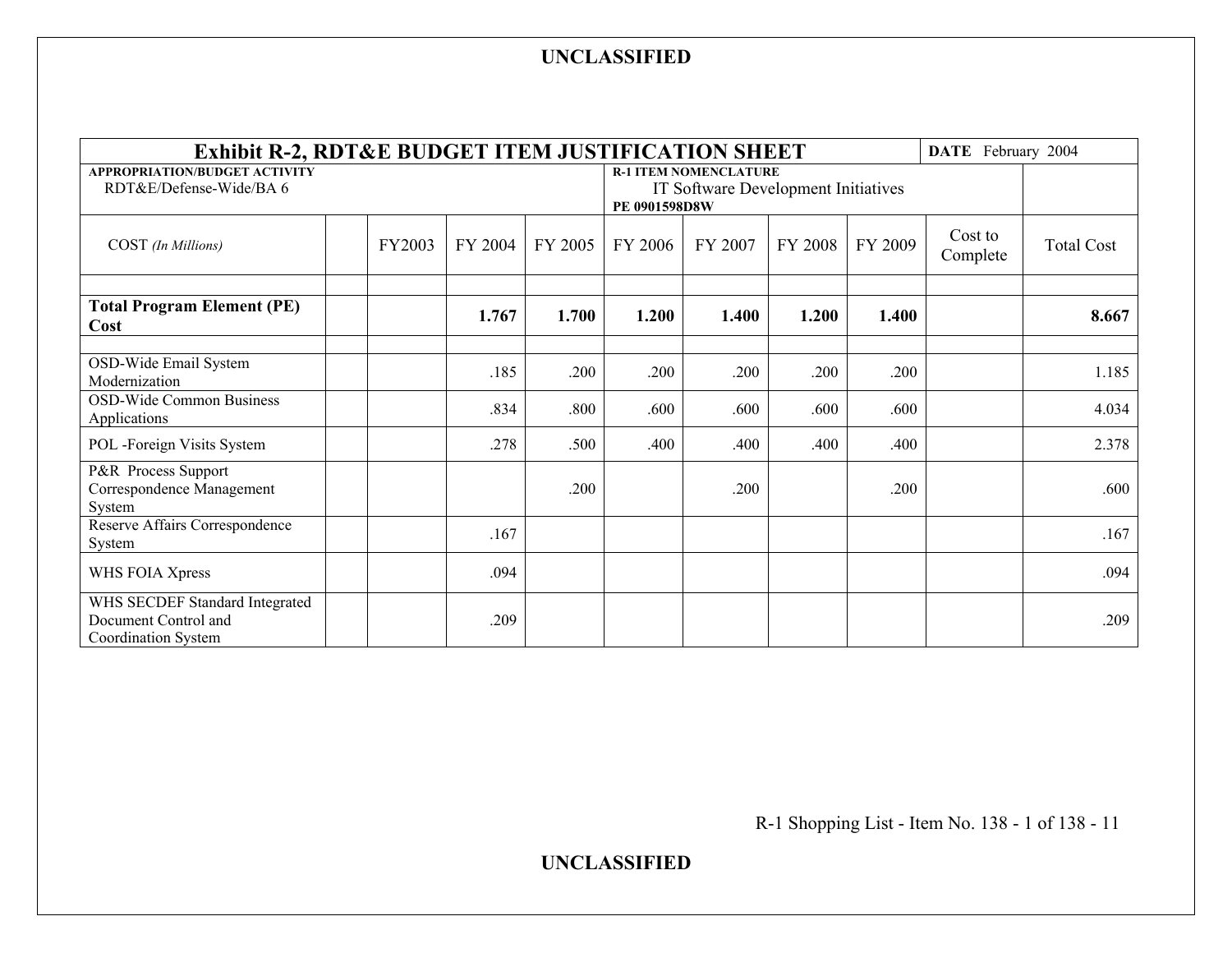| Exhibit R-2, RDT&E BUDGET ITEM JUSTIFICATION SHEET                            |        |         |         |                                                                                      |         |         |         | DATE February 2004  |                   |
|-------------------------------------------------------------------------------|--------|---------|---------|--------------------------------------------------------------------------------------|---------|---------|---------|---------------------|-------------------|
| <b>APPROPRIATION/BUDGET ACTIVITY</b><br>RDT&E/Defense-Wide/BA 6               |        |         |         | <b>R-1 ITEM NOMENCLATURE</b><br>IT Software Development Initiatives<br>PE 0901598D8W |         |         |         |                     |                   |
| COST (In Millions)                                                            | FY2003 | FY 2004 | FY 2005 | FY 2006                                                                              | FY 2007 | FY 2008 | FY 2009 | Cost to<br>Complete | <b>Total Cost</b> |
| <b>Total Program Element (PE)</b><br>Cost                                     |        | 1.767   | 1.700   | 1.200                                                                                | 1.400   | 1.200   | 1.400   |                     | 8.667             |
| OSD-Wide Email System<br>Modernization                                        |        | .185    | .200    | .200                                                                                 | .200    | .200    | .200    |                     | 1.185             |
| OSD-Wide Common Business<br>Applications                                      |        | .834    | .800    | .600                                                                                 | .600    | .600    | .600    |                     | 4.034             |
| POL -Foreign Visits System                                                    |        | .278    | .500    | .400                                                                                 | .400    | .400    | .400    |                     | 2.378             |
| P&R Process Support<br>Correspondence Management<br>System                    |        |         | .200    |                                                                                      | .200    |         | .200    |                     | .600              |
| Reserve Affairs Correspondence<br>System                                      |        | .167    |         |                                                                                      |         |         |         |                     | .167              |
| WHS FOIA Xpress                                                               |        | .094    |         |                                                                                      |         |         |         |                     | .094              |
| WHS SECDEF Standard Integrated<br>Document Control and<br>Coordination System |        | .209    |         |                                                                                      |         |         |         |                     | .209              |

R-1 Shopping List - Item No. 138 - 1 of 138 - 11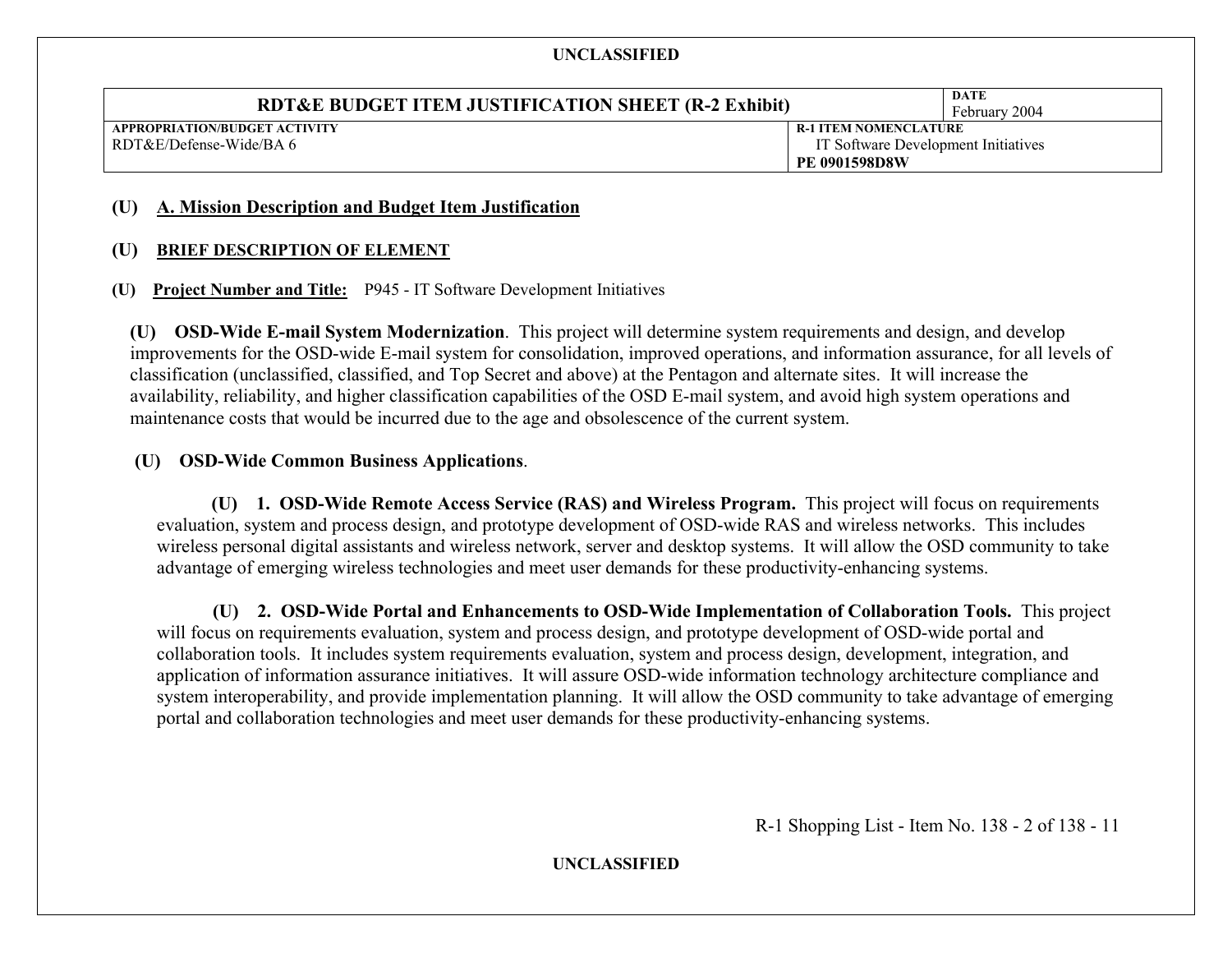| <b>RDT&amp;E BUDGET ITEM JUSTIFICATION SHEET (R-2 Exhibit)</b> |                                     | DATE<br>February 2004 |
|----------------------------------------------------------------|-------------------------------------|-----------------------|
| APPROPRIATION/BUDGET ACTIVITY                                  | <b>R-1 ITEM NOMENCLATURE</b>        |                       |
| RDT&E/Defense-Wide/BA 6                                        | IT Software Development Initiatives |                       |
|                                                                | <b>PE 0901598D8W</b>                |                       |

#### **(U) A. Mission Description and Budget Item Justification**

#### **(U) BRIEF DESCRIPTION OF ELEMENT**

#### **(U) Project Number and Title:** P945 - IT Software Development Initiatives

**(U) OSD-Wide E-mail System Modernization**. This project will determine system requirements and design, and develop improvements for the OSD-wide E-mail system for consolidation, improved operations, and information assurance, for all levels of classification (unclassified, classified, and Top Secret and above) at the Pentagon and alternate sites. It will increase the availability, reliability, and higher classification capabilities of the OSD E-mail system, and avoid high system operations and maintenance costs that would be incurred due to the age and obsolescence of the current system.

#### **(U) OSD-Wide Common Business Applications**.

**(U) 1. OSD-Wide Remote Access Service (RAS) and Wireless Program.** This project will focus on requirements evaluation, system and process design, and prototype development of OSD-wide RAS and wireless networks. This includes wireless personal digital assistants and wireless network, server and desktop systems. It will allow the OSD community to take advantage of emerging wireless technologies and meet user demands for these productivity-enhancing systems.

 **(U) 2. OSD-Wide Portal and Enhancements to OSD-Wide Implementation of Collaboration Tools.** This project will focus on requirements evaluation, system and process design, and prototype development of OSD-wide portal and collaboration tools. It includes system requirements evaluation, system and process design, development, integration, and application of information assurance initiatives. It will assure OSD-wide information technology architecture compliance and system interoperability, and provide implementation planning. It will allow the OSD community to take advantage of emerging portal and collaboration technologies and meet user demands for these productivity-enhancing systems.

R-1 Shopping List - Item No. 138 - 2 of 138 - 11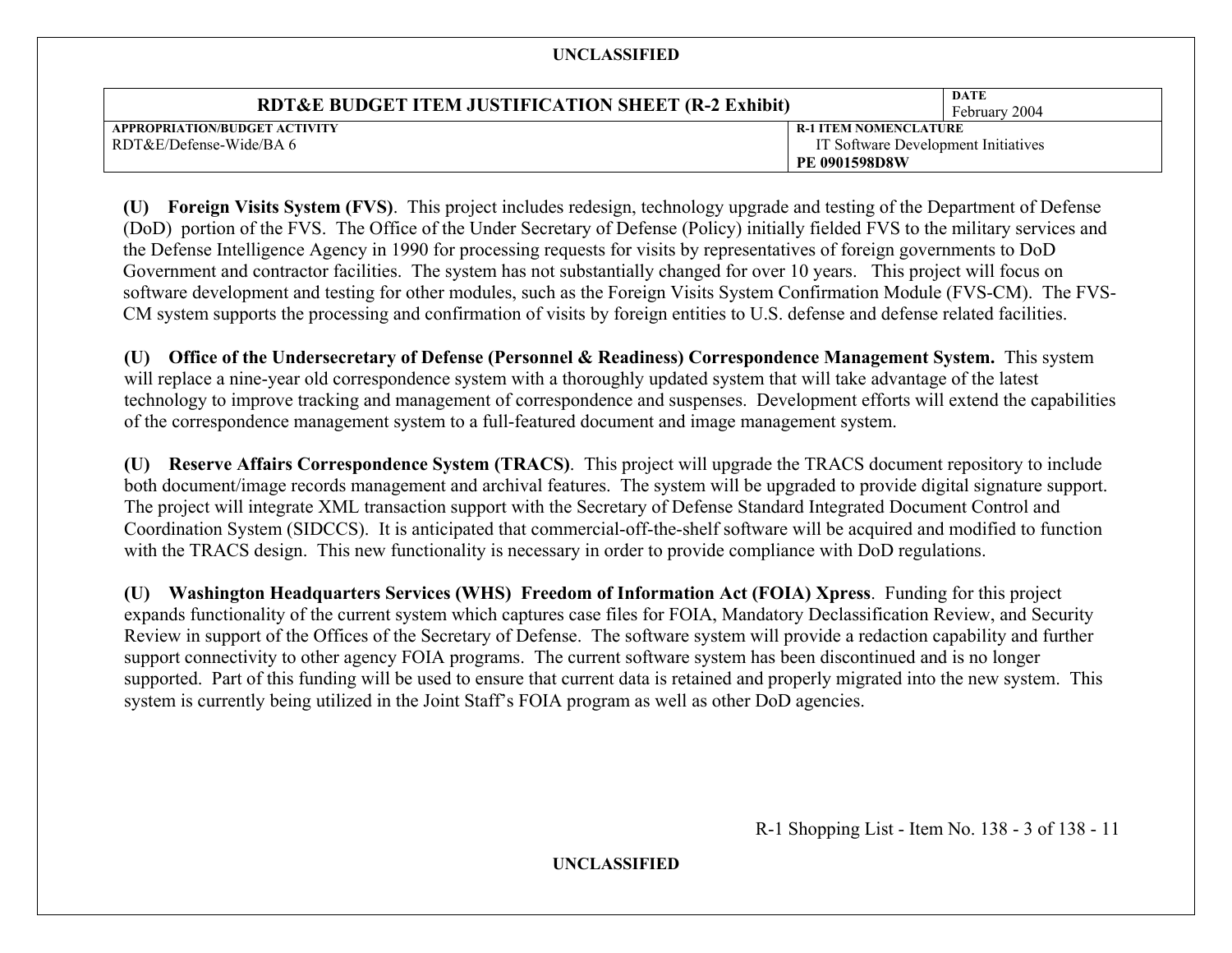| <b>RDT&amp;E BUDGET ITEM JUSTIFICATION SHEET (R-2 Exhibit)</b> |                                     | DATE<br>February 2004 |
|----------------------------------------------------------------|-------------------------------------|-----------------------|
| APPROPRIATION/BUDGET ACTIVITY                                  | <b>R-1 ITEM NOMENCLATURE</b>        |                       |
| RDT&E/Defense-Wide/BA 6                                        | IT Software Development Initiatives |                       |
|                                                                | <b>PE 0901598D8W</b>                |                       |

**(U) Foreign Visits System (FVS)**. This project includes redesign, technology upgrade and testing of the Department of Defense (DoD) portion of the FVS. The Office of the Under Secretary of Defense (Policy) initially fielded FVS to the military services and the Defense Intelligence Agency in 1990 for processing requests for visits by representatives of foreign governments to DoD Government and contractor facilities. The system has not substantially changed for over 10 years. This project will focus on software development and testing for other modules, such as the Foreign Visits System Confirmation Module (FVS-CM). The FVS-CM system supports the processing and confirmation of visits by foreign entities to U.S. defense and defense related facilities.

**(U) Office of the Undersecretary of Defense (Personnel & Readiness) Correspondence Management System.** This system will replace a nine-year old correspondence system with a thoroughly updated system that will take advantage of the latest technology to improve tracking and management of correspondence and suspenses. Development efforts will extend the capabilities of the correspondence management system to a full-featured document and image management system.

**(U) Reserve Affairs Correspondence System (TRACS)**. This project will upgrade the TRACS document repository to include both document/image records management and archival features. The system will be upgraded to provide digital signature support. The project will integrate XML transaction support with the Secretary of Defense Standard Integrated Document Control and Coordination System (SIDCCS). It is anticipated that commercial-off-the-shelf software will be acquired and modified to function with the TRACS design. This new functionality is necessary in order to provide compliance with DoD regulations.

**(U) Washington Headquarters Services (WHS) Freedom of Information Act (FOIA) Xpress**. Funding for this project expands functionality of the current system which captures case files for FOIA, Mandatory Declassification Review, and Security Review in support of the Offices of the Secretary of Defense. The software system will provide a redaction capability and further support connectivity to other agency FOIA programs. The current software system has been discontinued and is no longer supported. Part of this funding will be used to ensure that current data is retained and properly migrated into the new system. This system is currently being utilized in the Joint Staff's FOIA program as well as other DoD agencies.

R-1 Shopping List - Item No. 138 - 3 of 138 - 11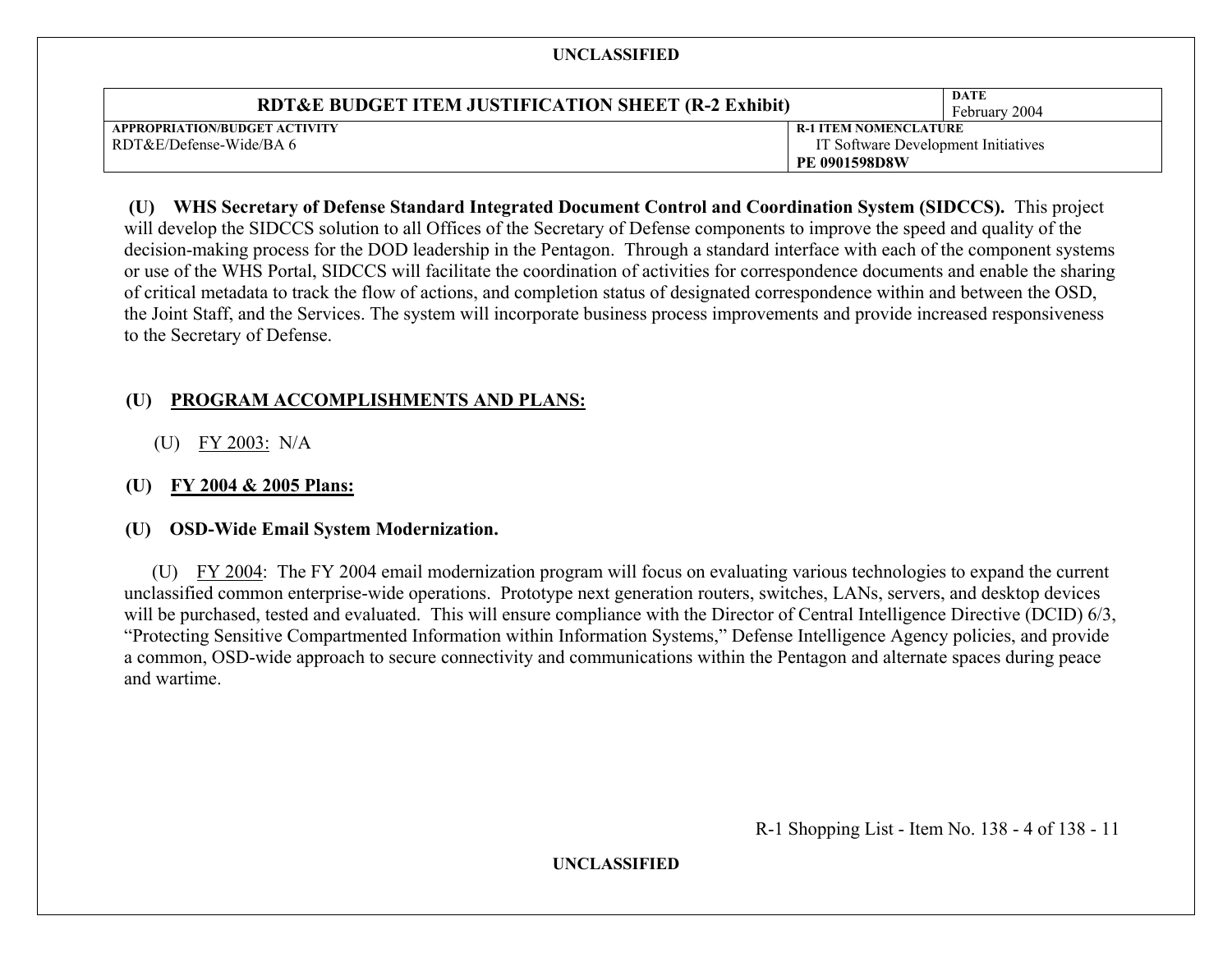| RDT&E BUDGET ITEM JUSTIFICATION SHEET (R-2 Exhibit) |                                     | DATE<br>February 2004 |
|-----------------------------------------------------|-------------------------------------|-----------------------|
| APPROPRIATION/BUDGET ACTIVITY                       | <b>R-1 ITEM NOMENCLATURE</b>        |                       |
| RDT&E/Defense-Wide/BA 6                             | IT Software Development Initiatives |                       |
|                                                     | <b>PE 0901598D8W</b>                |                       |

# **(U) WHS Secretary of Defense Standard Integrated Document Control and Coordination System (SIDCCS).** This project will develop the SIDCCS solution to all Offices of the Secretary of Defense components to improve the speed and quality of the decision-making process for the DOD leadership in the Pentagon. Through a standard interface with each of the component systems or use of the WHS Portal, SIDCCS will facilitate the coordination of activities for correspondence documents and enable the sharing

of critical metadata to track the flow of actions, and completion status of designated correspondence within and between the OSD, the Joint Staff, and the Services. The system will incorporate business process improvements and provide increased responsiveness to the Secretary of Defense.

# **(U) PROGRAM ACCOMPLISHMENTS AND PLANS:**

(U) FY 2003: N/A

# **(U) FY 2004 & 2005 Plans:**

# **(U) OSD-Wide Email System Modernization.**

 (U) FY 2004: The FY 2004 email modernization program will focus on evaluating various technologies to expand the current unclassified common enterprise-wide operations. Prototype next generation routers, switches, LANs, servers, and desktop devices will be purchased, tested and evaluated. This will ensure compliance with the Director of Central Intelligence Directive (DCID) 6/3, "Protecting Sensitive Compartmented Information within Information Systems," Defense Intelligence Agency policies, and provide a common, OSD-wide approach to secure connectivity and communications within the Pentagon and alternate spaces during peace and wartime.

R-1 Shopping List - Item No. 138 - 4 of 138 - 11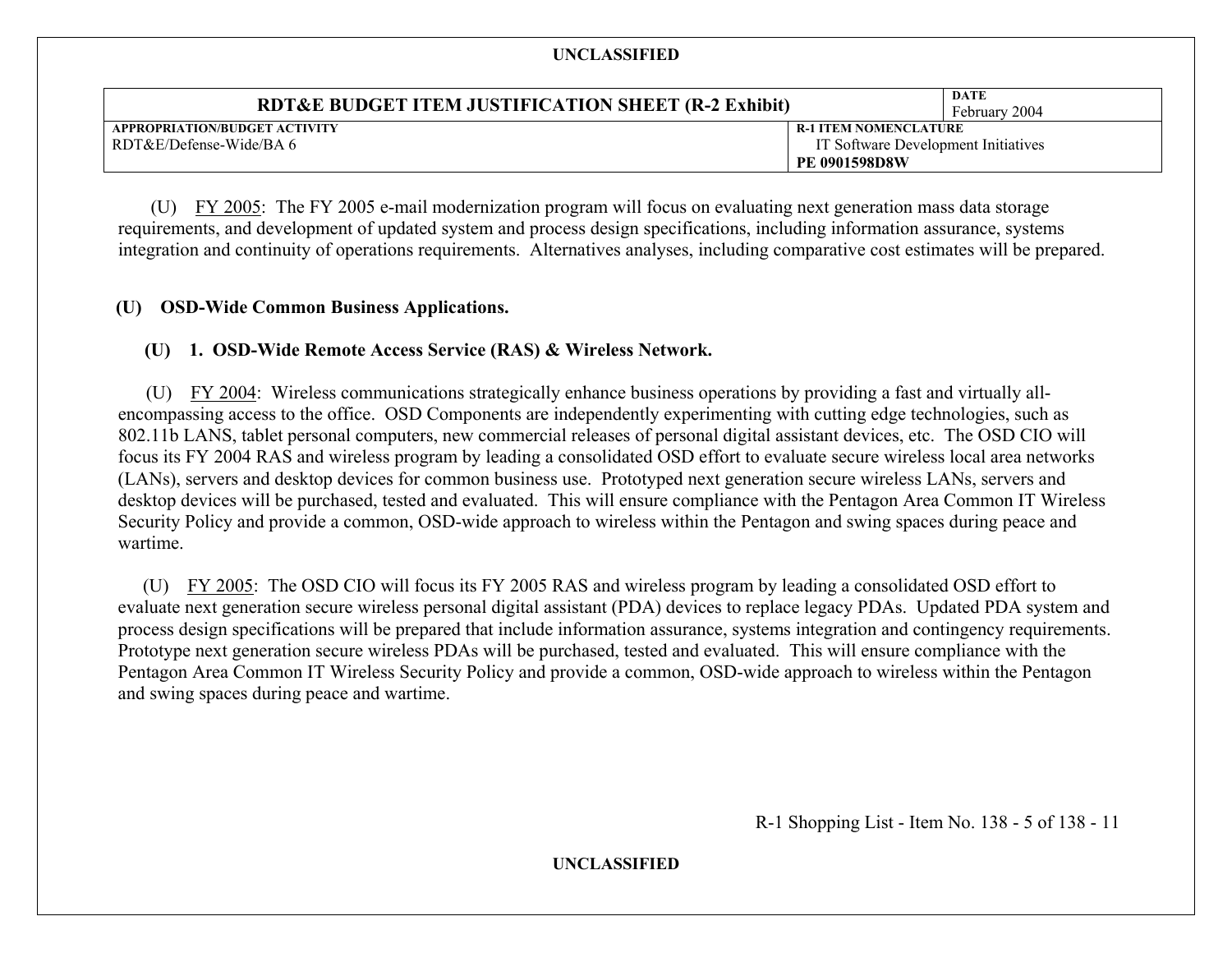| RDT&E BUDGET ITEM JUSTIFICATION SHEET (R-2 Exhibit) |                                     | DATE<br>February 2004 |
|-----------------------------------------------------|-------------------------------------|-----------------------|
| APPROPRIATION/BUDGET ACTIVITY                       | <b>R-1 ITEM NOMENCLATURE</b>        |                       |
| RDT&E/Defense-Wide/BA 6                             | IT Software Development Initiatives |                       |
|                                                     | <b>PE 0901598D8W</b>                |                       |

 (U) FY 2005: The FY 2005 e-mail modernization program will focus on evaluating next generation mass data storage requirements, and development of updated system and process design specifications, including information assurance, systems integration and continuity of operations requirements. Alternatives analyses, including comparative cost estimates will be prepared.

#### **(U) OSD-Wide Common Business Applications.**

#### **(U) 1. OSD-Wide Remote Access Service (RAS) & Wireless Network.**

 (U) FY 2004: Wireless communications strategically enhance business operations by providing a fast and virtually allencompassing access to the office. OSD Components are independently experimenting with cutting edge technologies, such as 802.11b LANS, tablet personal computers, new commercial releases of personal digital assistant devices, etc. The OSD CIO will focus its FY 2004 RAS and wireless program by leading a consolidated OSD effort to evaluate secure wireless local area networks (LANs), servers and desktop devices for common business use. Prototyped next generation secure wireless LANs, servers and desktop devices will be purchased, tested and evaluated. This will ensure compliance with the Pentagon Area Common IT Wireless Security Policy and provide a common, OSD-wide approach to wireless within the Pentagon and swing spaces during peace and wartime.

 (U) FY 2005: The OSD CIO will focus its FY 2005 RAS and wireless program by leading a consolidated OSD effort to evaluate next generation secure wireless personal digital assistant (PDA) devices to replace legacy PDAs. Updated PDA system and process design specifications will be prepared that include information assurance, systems integration and contingency requirements. Prototype next generation secure wireless PDAs will be purchased, tested and evaluated. This will ensure compliance with the Pentagon Area Common IT Wireless Security Policy and provide a common, OSD-wide approach to wireless within the Pentagon and swing spaces during peace and wartime.

R-1 Shopping List - Item No. 138 - 5 of 138 - 11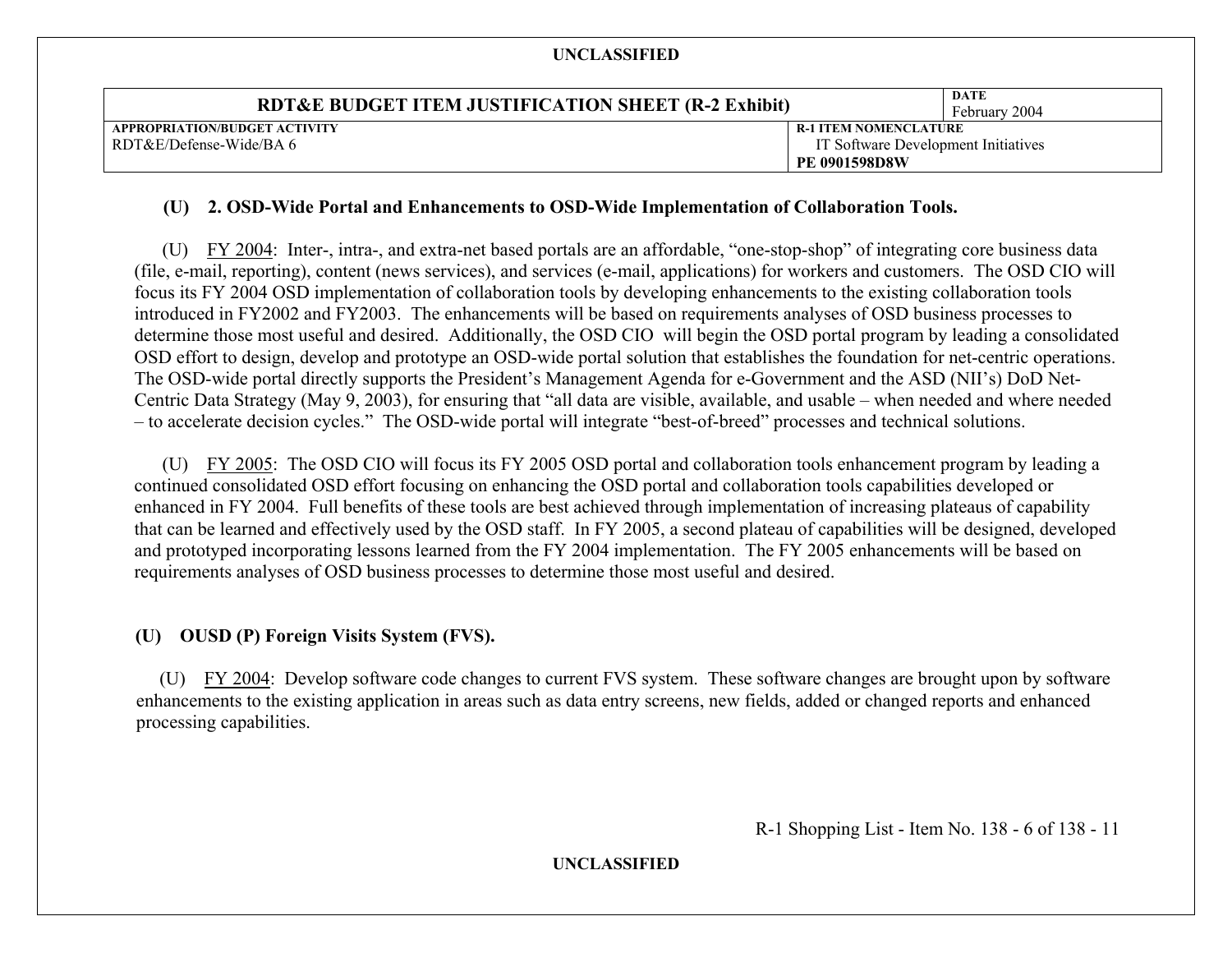| <b>RDT&amp;E BUDGET ITEM JUSTIFICATION SHEET (R-2 Exhibit)</b> |                                     | <b>DATE</b><br>February 2004 |
|----------------------------------------------------------------|-------------------------------------|------------------------------|
| APPROPRIATION/BUDGET ACTIVITY                                  | <b>R-1 ITEM NOMENCLATURE</b>        |                              |
| RDT&E/Defense-Wide/BA 6                                        | IT Software Development Initiatives |                              |
|                                                                | <b>PE 0901598D8W</b>                |                              |

#### **(U) 2. OSD-Wide Portal and Enhancements to OSD-Wide Implementation of Collaboration Tools.**

 (U) FY 2004: Inter-, intra-, and extra-net based portals are an affordable, "one-stop-shop" of integrating core business data (file, e-mail, reporting), content (news services), and services (e-mail, applications) for workers and customers. The OSD CIO will focus its FY 2004 OSD implementation of collaboration tools by developing enhancements to the existing collaboration tools introduced in FY2002 and FY2003. The enhancements will be based on requirements analyses of OSD business processes to determine those most useful and desired. Additionally, the OSD CIO will begin the OSD portal program by leading a consolidated OSD effort to design, develop and prototype an OSD-wide portal solution that establishes the foundation for net-centric operations. The OSD-wide portal directly supports the President's Management Agenda for e-Government and the ASD (NII's) DoD Net-Centric Data Strategy (May 9, 2003), for ensuring that "all data are visible, available, and usable – when needed and where needed – to accelerate decision cycles." The OSD-wide portal will integrate "best-of-breed" processes and technical solutions.

(U) FY 2005: The OSD CIO will focus its FY 2005 OSD portal and collaboration tools enhancement program by leading a continued consolidated OSD effort focusing on enhancing the OSD portal and collaboration tools capabilities developed or enhanced in FY 2004. Full benefits of these tools are best achieved through implementation of increasing plateaus of capability that can be learned and effectively used by the OSD staff. In FY 2005, a second plateau of capabilities will be designed, developed and prototyped incorporating lessons learned from the FY 2004 implementation. The FY 2005 enhancements will be based on requirements analyses of OSD business processes to determine those most useful and desired.

#### **(U) OUSD (P) Foreign Visits System (FVS).**

 (U) FY 2004: Develop software code changes to current FVS system. These software changes are brought upon by software enhancements to the existing application in areas such as data entry screens, new fields, added or changed reports and enhanced processing capabilities.

R-1 Shopping List - Item No. 138 - 6 of 138 - 11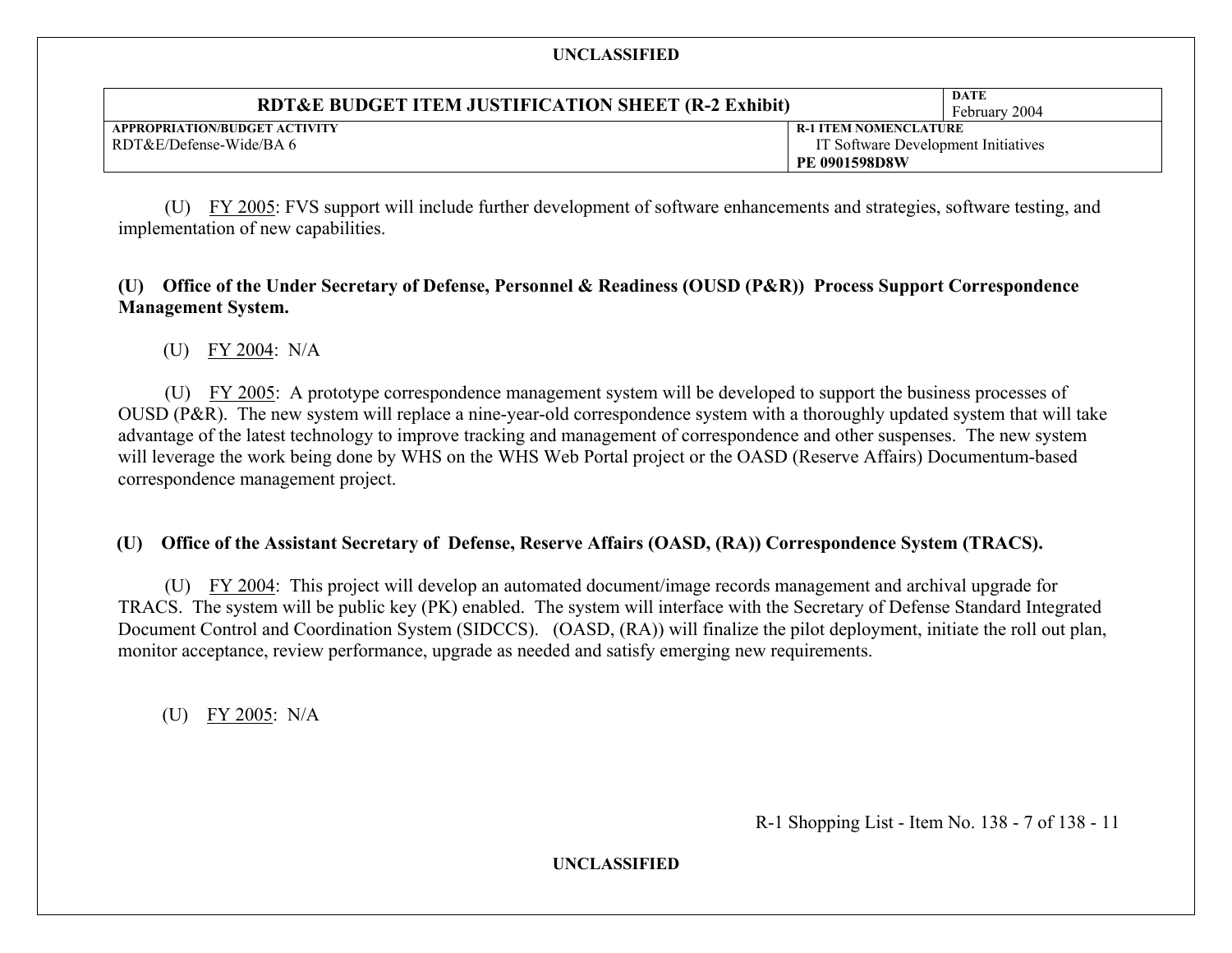| RDT&E BUDGET ITEM JUSTIFICATION SHEET (R-2 Exhibit) |                                     | DATE<br>February 2004 |
|-----------------------------------------------------|-------------------------------------|-----------------------|
| APPROPRIATION/BUDGET ACTIVITY                       | <b>R-1 ITEM NOMENCLATURE</b>        |                       |
| RDT&E/Defense-Wide/BA 6                             | IT Software Development Initiatives |                       |
|                                                     | <b>PE 0901598D8W</b>                |                       |

 (U) FY 2005: FVS support will include further development of software enhancements and strategies, software testing, and implementation of new capabilities.

# **(U) Office of the Under Secretary of Defense, Personnel & Readiness (OUSD (P&R)) Process Support Correspondence Management System.**

(U) FY 2004: N/A

 (U) FY 2005: A prototype correspondence management system will be developed to support the business processes of OUSD (P&R). The new system will replace a nine-year-old correspondence system with a thoroughly updated system that will take advantage of the latest technology to improve tracking and management of correspondence and other suspenses. The new system will leverage the work being done by WHS on the WHS Web Portal project or the OASD (Reserve Affairs) Documentum-based correspondence management project.

# **(U) Office of the Assistant Secretary of Defense, Reserve Affairs (OASD, (RA)) Correspondence System (TRACS).**

 (U) FY 2004: This project will develop an automated document/image records management and archival upgrade for TRACS. The system will be public key (PK) enabled. The system will interface with the Secretary of Defense Standard Integrated Document Control and Coordination System (SIDCCS). (OASD, (RA)) will finalize the pilot deployment, initiate the roll out plan, monitor acceptance, review performance, upgrade as needed and satisfy emerging new requirements.

(U) FY 2005: N/A

R-1 Shopping List - Item No. 138 - 7 of 138 - 11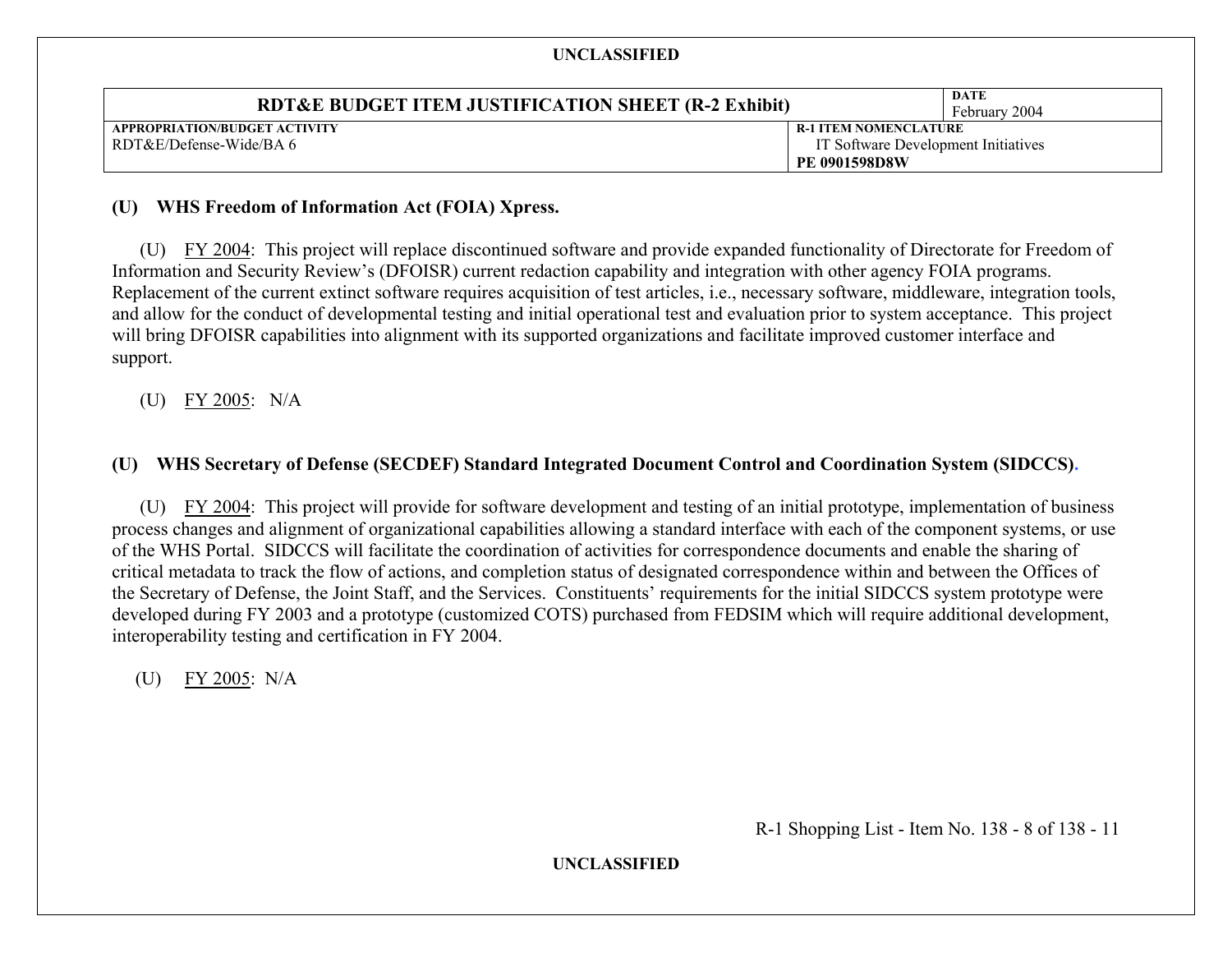| <b>RDT&amp;E BUDGET ITEM JUSTIFICATION SHEET (R-2 Exhibit)</b> |                                     | DATE<br>February 2004 |
|----------------------------------------------------------------|-------------------------------------|-----------------------|
| APPROPRIATION/BUDGET ACTIVITY                                  | <b>R-1 ITEM NOMENCLATURE</b>        |                       |
| RDT&E/Defense-Wide/BA 6                                        | IT Software Development Initiatives |                       |
|                                                                | <b>PE 0901598D8W</b>                |                       |

#### **(U) WHS Freedom of Information Act (FOIA) Xpress.**

 (U) FY 2004: This project will replace discontinued software and provide expanded functionality of Directorate for Freedom of Information and Security Review's (DFOISR) current redaction capability and integration with other agency FOIA programs. Replacement of the current extinct software requires acquisition of test articles, i.e., necessary software, middleware, integration tools, and allow for the conduct of developmental testing and initial operational test and evaluation prior to system acceptance. This project will bring DFOISR capabilities into alignment with its supported organizations and facilitate improved customer interface and support.

(U) FY 2005: N/A

# **(U) WHS Secretary of Defense (SECDEF) Standard Integrated Document Control and Coordination System (SIDCCS).**

 (U) FY 2004: This project will provide for software development and testing of an initial prototype, implementation of business process changes and alignment of organizational capabilities allowing a standard interface with each of the component systems, or use of the WHS Portal. SIDCCS will facilitate the coordination of activities for correspondence documents and enable the sharing of critical metadata to track the flow of actions, and completion status of designated correspondence within and between the Offices of the Secretary of Defense, the Joint Staff, and the Services. Constituents' requirements for the initial SIDCCS system prototype were developed during FY 2003 and a prototype (customized COTS) purchased from FEDSIM which will require additional development, interoperability testing and certification in FY 2004.

(U) FY 2005: N/A

R-1 Shopping List - Item No. 138 - 8 of 138 - 11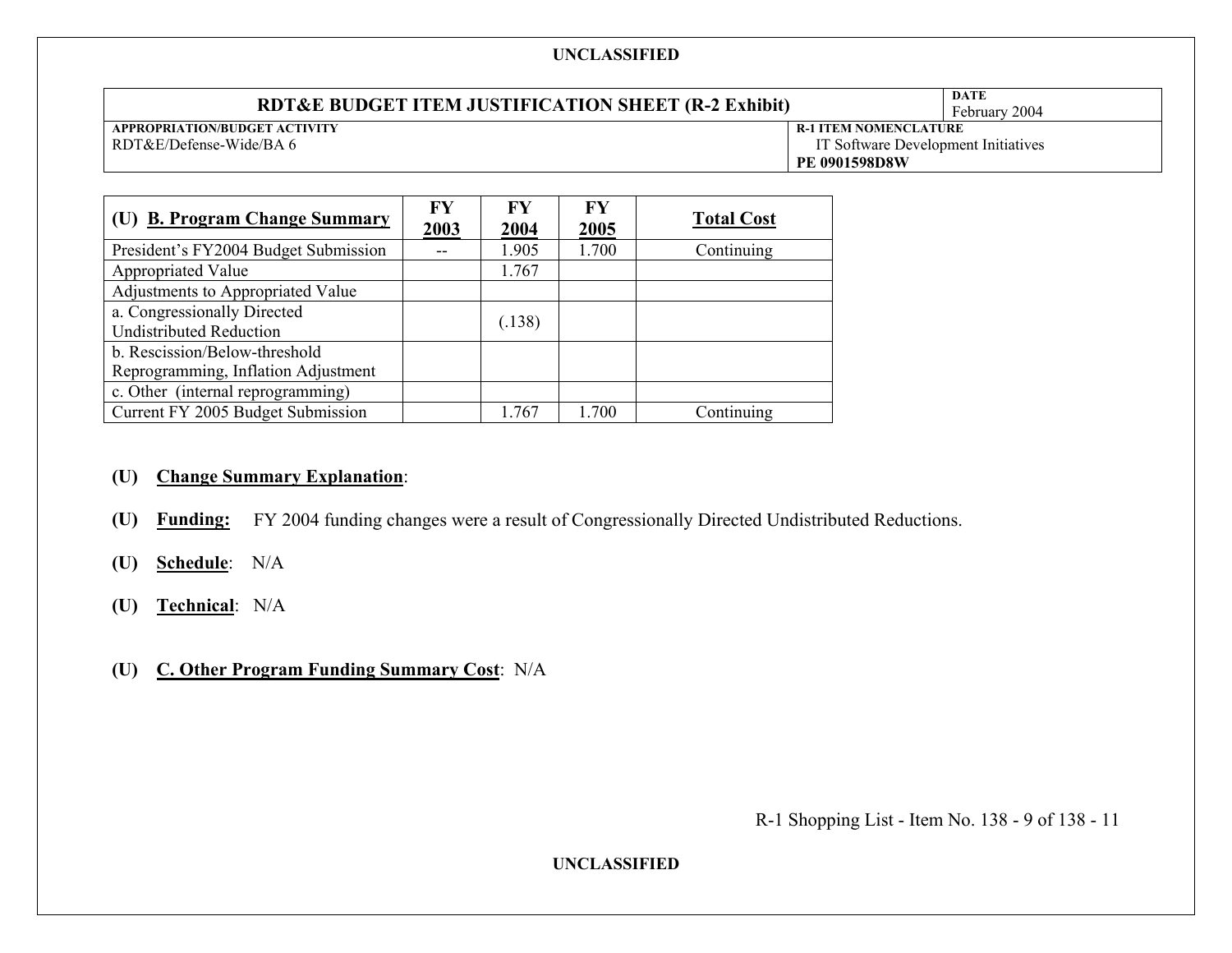#### **UNCLASSIFIED RDT&E BUDGET ITEM JUSTIFICATION SHEET (R-2 Exhibit)**  $\left|\begin{array}{c} \text{DATE} \\ \text{February 2004} \end{array}\right|$ **APPROPRIATION/BUDGET ACTIVITY**  RDT&E/Defense-Wide/BA 6 **R-1 ITEM NOMENCLATURE**  IT Software Development Initiatives **PE 0901598D8W**

| (U) B. Program Change Summary        | <b>FY</b><br>2003 | $\mathbf{F}\mathbf{Y}$<br>2004 | $\bf{F}V$<br>2005 | <b>Total Cost</b> |
|--------------------------------------|-------------------|--------------------------------|-------------------|-------------------|
| President's FY2004 Budget Submission |                   | 1.905                          | 1.700             | Continuing        |
| Appropriated Value                   |                   | 1.767                          |                   |                   |
| Adjustments to Appropriated Value    |                   |                                |                   |                   |
| a. Congressionally Directed          |                   | (.138)                         |                   |                   |
| <b>Undistributed Reduction</b>       |                   |                                |                   |                   |
| b. Rescission/Below-threshold        |                   |                                |                   |                   |
| Reprogramming, Inflation Adjustment  |                   |                                |                   |                   |
| c. Other (internal reprogramming)    |                   |                                |                   |                   |
| Current FY 2005 Budget Submission    |                   | 1.767                          | 1.700             | Continuing        |

# **(U) Change Summary Explanation**:

- **(U) Funding:** FY 2004 funding changes were a result of Congressionally Directed Undistributed Reductions.
- **(U) Schedule**: N/A
- **(U) Technical**: N/A
- **(U) C. Other Program Funding Summary Cost**: N/A

R-1 Shopping List - Item No. 138 - 9 of 138 - 11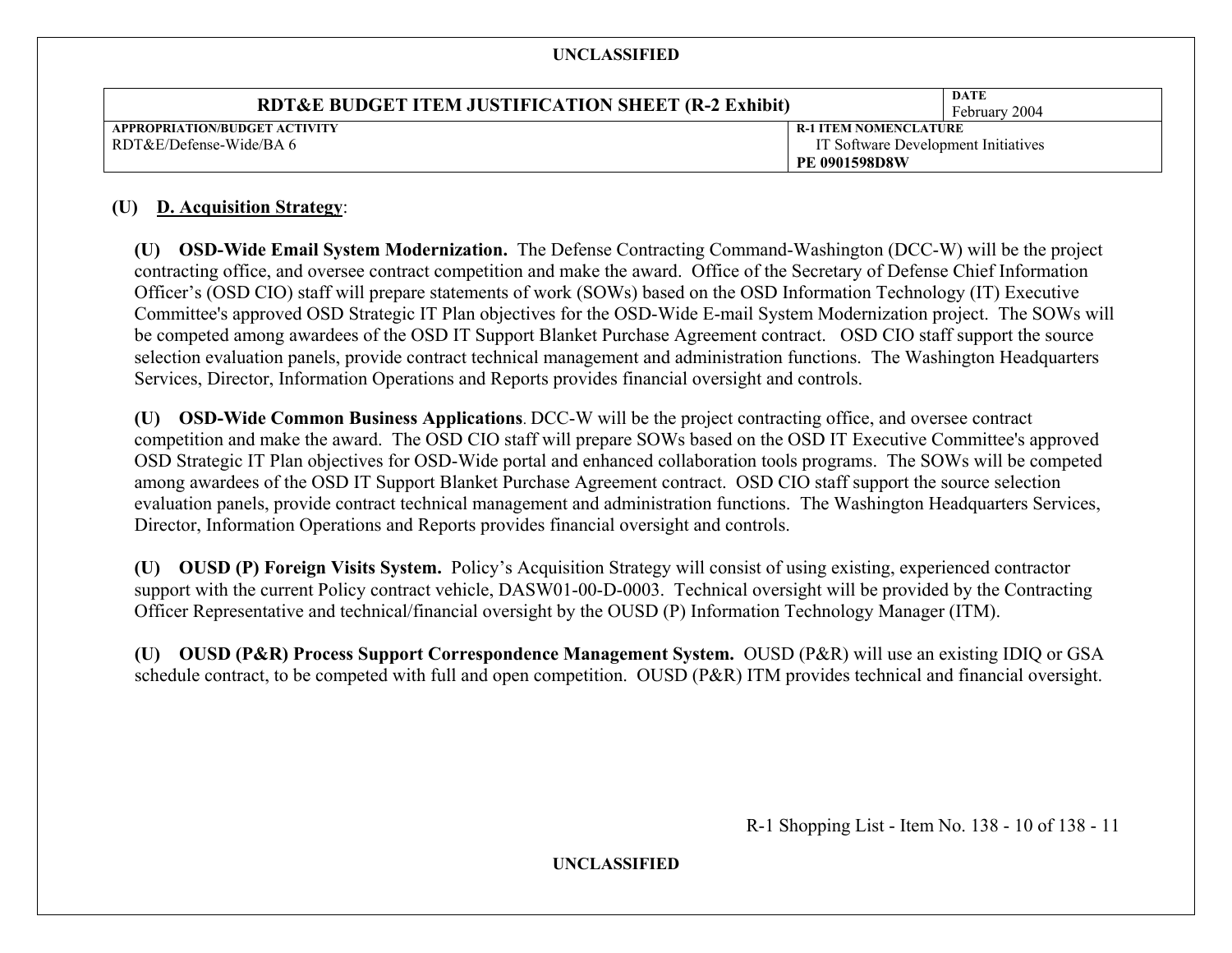| <b>RDT&amp;E BUDGET ITEM JUSTIFICATION SHEET (R-2 Exhibit)</b> |                                     | DATE<br>February 2004 |
|----------------------------------------------------------------|-------------------------------------|-----------------------|
| APPROPRIATION/BUDGET ACTIVITY                                  | <b>R-1 ITEM NOMENCLATURE</b>        |                       |
| RDT&E/Defense-Wide/BA 6                                        | IT Software Development Initiatives |                       |
|                                                                | <b>PE 0901598D8W</b>                |                       |

### **(U) D. Acquisition Strategy**:

**(U) OSD-Wide Email System Modernization.** The Defense Contracting Command-Washington (DCC-W) will be the project contracting office, and oversee contract competition and make the award. Office of the Secretary of Defense Chief Information Officer's (OSD CIO) staff will prepare statements of work (SOWs) based on the OSD Information Technology (IT) Executive Committee's approved OSD Strategic IT Plan objectives for the OSD-Wide E-mail System Modernization project. The SOWs will be competed among awardees of the OSD IT Support Blanket Purchase Agreement contract. OSD CIO staff support the source selection evaluation panels, provide contract technical management and administration functions. The Washington Headquarters Services, Director, Information Operations and Reports provides financial oversight and controls.

**(U) OSD-Wide Common Business Applications**. DCC-W will be the project contracting office, and oversee contract competition and make the award. The OSD CIO staff will prepare SOWs based on the OSD IT Executive Committee's approved OSD Strategic IT Plan objectives for OSD-Wide portal and enhanced collaboration tools programs. The SOWs will be competed among awardees of the OSD IT Support Blanket Purchase Agreement contract. OSD CIO staff support the source selection evaluation panels, provide contract technical management and administration functions. The Washington Headquarters Services, Director, Information Operations and Reports provides financial oversight and controls.

**(U) OUSD (P) Foreign Visits System.** Policy's Acquisition Strategy will consist of using existing, experienced contractor support with the current Policy contract vehicle, DASW01-00-D-0003. Technical oversight will be provided by the Contracting Officer Representative and technical/financial oversight by the OUSD (P) Information Technology Manager (ITM).

**(U) OUSD (P&R) Process Support Correspondence Management System.** OUSD (P&R) will use an existing IDIQ or GSA schedule contract, to be competed with full and open competition. OUSD (P&R) ITM provides technical and financial oversight.

R-1 Shopping List - Item No. 138 - 10 of 138 - 11